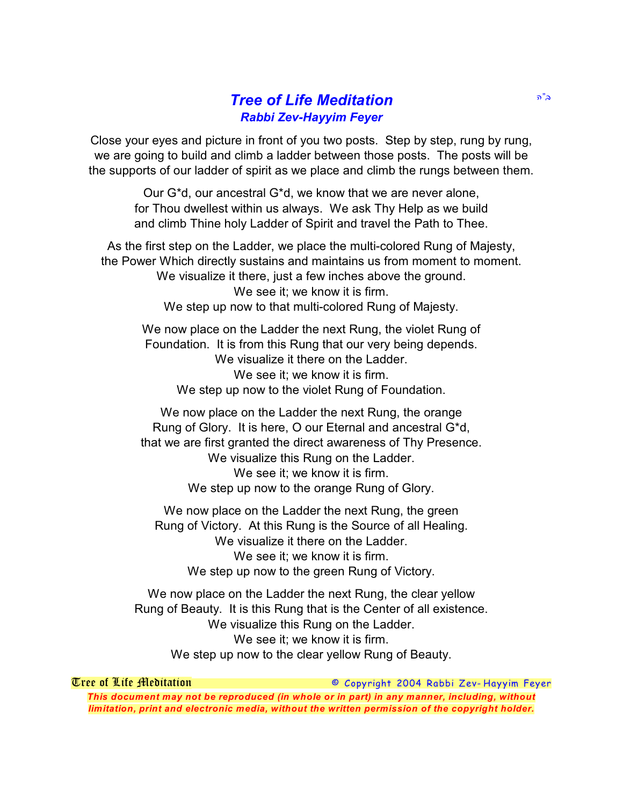## **Tree of Life Meditation** *Rabbi Zev-Hayyim Feyer*

Close your eyes and picture in front of you two posts. Step by step, rung by rung, we are going to build and climb a ladder between those posts. The posts will be the supports of our ladder of spirit as we place and climb the rungs between them.

> Our G\*d, our ancestral G\*d, we know that we are never alone, for Thou dwellest within us always. We ask Thy Help as we build and climb Thine holy Ladder of Spirit and travel the Path to Thee.

As the first step on the Ladder, we place the multi-colored Rung of Majesty, the Power Which directly sustains and maintains us from moment to moment. We visualize it there, just a few inches above the ground. We see it: we know it is firm. We step up now to that multi-colored Rung of Majesty.

We now place on the Ladder the next Rung, the violet Rung of Foundation. It is from this Rung that our very being depends. We visualize it there on the Ladder. We see it; we know it is firm. We step up now to the violet Rung of Foundation.

We now place on the Ladder the next Rung, the orange Rung of Glory. It is here, O our Eternal and ancestral G\*d, that we are first granted the direct awareness of Thy Presence. We visualize this Rung on the Ladder. We see it; we know it is firm. We step up now to the orange Rung of Glory.

We now place on the Ladder the next Rung, the green Rung of Victory. At this Rung is the Source of all Healing. We visualize it there on the Ladder. We see it; we know it is firm. We step up now to the green Rung of Victory.

We now place on the Ladder the next Rung, the clear yellow Rung of Beauty. It is this Rung that is the Center of all existence. We visualize this Rung on the Ladder. We see it: we know it is firm. We step up now to the clear yellow Rung of Beauty.

*Tree of Life Meditation © Copyright 2004 Rabbi Zev- Hayyim Feyer This document may not be reproduced (in whole or in part) in any manner, including, without limitation, print and electronic media, without the written permission of the copyright holder.*